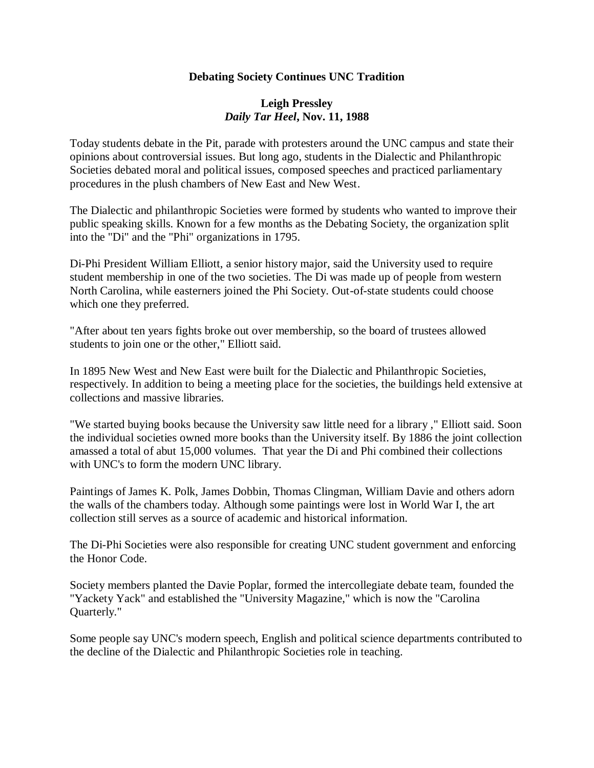## **Debating Society Continues UNC Tradition**

## **Leigh Pressley** *Daily Tar Heel***, Nov. 11, 1988**

Today students debate in the Pit, parade with protesters around the UNC campus and state their opinions about controversial issues. But long ago, students in the Dialectic and Philanthropic Societies debated moral and political issues, composed speeches and practiced parliamentary procedures in the plush chambers of New East and New West.

The Dialectic and philanthropic Societies were formed by students who wanted to improve their public speaking skills. Known for a few months as the Debating Society, the organization split into the "Di" and the "Phi" organizations in 1795.

Di-Phi President William Elliott, a senior history major, said the University used to require student membership in one of the two societies. The Di was made up of people from western North Carolina, while easterners joined the Phi Society. Out-of-state students could choose which one they preferred.

"After about ten years fights broke out over membership, so the board of trustees allowed students to join one or the other," Elliott said.

In 1895 New West and New East were built for the Dialectic and Philanthropic Societies, respectively. In addition to being a meeting place for the societies, the buildings held extensive at collections and massive libraries.

"We started buying books because the University saw little need for a library ," Elliott said. Soon the individual societies owned more books than the University itself. By 1886 the joint collection amassed a total of abut 15,000 volumes. That year the Di and Phi combined their collections with UNC's to form the modern UNC library.

Paintings of James K. Polk, James Dobbin, Thomas Clingman, William Davie and others adorn the walls of the chambers today. Although some paintings were lost in World War I, the art collection still serves as a source of academic and historical information.

The Di-Phi Societies were also responsible for creating UNC student government and enforcing the Honor Code.

Society members planted the Davie Poplar, formed the intercollegiate debate team, founded the "Yackety Yack" and established the "University Magazine," which is now the "Carolina Quarterly."

Some people say UNC's modern speech, English and political science departments contributed to the decline of the Dialectic and Philanthropic Societies role in teaching.